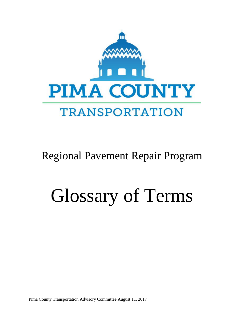

## Regional Pavement Repair Program

## Glossary of Terms

Pima County Transportation Advisory Committee August 11, 2017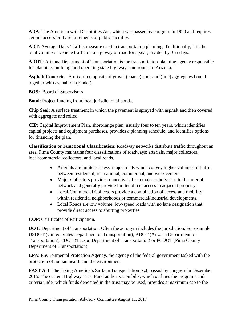**ADA**: The American with Disabilities Act, which was passed by congress in 1990 and requires certain accessibility requirements of public facilities.

**ADT**: Average Daily Traffic, measure used in transportation planning. Traditionally, it is the total volume of vehicle traffic on a highway or road for a year, divided by 365 days.

**ADOT**: Arizona Department of Transportation is the transportation-planning agency responsible for planning, building, and operating state highways and routes in Arizona.

Asphalt Concrete: A mix of composite of gravel (coarse) and sand (fine) aggregates bound together with asphalt oil (binder).

**BOS:** Board of Supervisors

**Bond**: Project funding from local jurisdictional bonds.

**Chip Seal:** A surface treatment in which the pavement is sprayed with asphalt and then covered with aggregate and rolled.

**CIP**: Capital Improvement Plan, short-range plan, usually four to ten years, which identifies capital projects and equipment purchases, provides a planning schedule, and identifies options for financing the plan.

**Classification or Functional Classification**: Roadway networks distribute traffic throughout an area. Pima County maintains four classifications of roadways: arterials, major collectors, local/commercial collectors, and local roads.

- Arterials are limited-access, major roads which convey higher volumes of traffic between residential, recreational, commercial, and work centers.
- Major Collectors provide connectivity from major subdivision to the arterial network and generally provide limited direct access to adjacent property.
- Local/Commercial Collectors provide a combination of access and mobility within residential neighborhoods or commercial/industrial developments.
- Local Roads are low volume, low-speed roads with no lane designation that provide direct access to abutting properties

**COP**: Certificates of Participation.

**DOT**: Department of Transportation. Often the acronym includes the jurisdiction. For example USDOT (United States Department of Transportation), ADOT (Arizona Department of Transportation), TDOT (Tucson Department of Transportation) or PCDOT (Pima County Department of Transportation)

**EPA**: Environmental Protection Agency, the agency of the federal government tasked with the protection of human health and the environment

**FAST Act**: The Fixing America's Surface Transportation Act, passed by congress in December 2015. The current Highway Trust Fund authorization bills, which outlines the programs and criteria under which funds deposited in the trust may be used, provides a maximum cap to the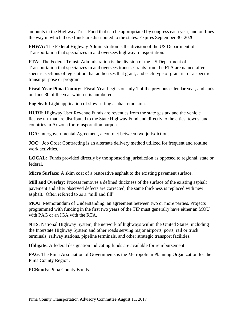amounts in the Highway Trust Fund that can be appropriated by congress each year, and outlines the way in which those funds are distributed to the states. Expires September 30, 2020

**FHWA:** The Federal Highway Administration is the division of the US Department of Transportation that specializes in and oversees highway transportation.

**FTA**: The Federal Transit Administration is the division of the US Department of Transportation that specializes in and oversees transit. Grants from the FTA are named after specific sections of legislation that authorizes that grant, and each type of grant is for a specific transit purpose or program.

**Fiscal Year Pima County:** Fiscal Year begins on July 1 of the previous calendar year, and ends on June 30 of the year which it is numbered.

**Fog Seal: L**ight application of slow setting asphalt emulsion.

**HURF**: Highway User Revenue Funds are revenues from the state gas tax and the vehicle license tax that are distributed to the State Highway Fund and directly to the cities, towns, and countries in Arizona for transportation purposes.

**IGA**: Intergovernmental Agreement, a contract between two jurisdictions.

**JOC:** Job Order Contracting is an alternate delivery method utilized for frequent and routine work activities.

**LOCAL**: Funds provided directly by the sponsoring jurisdiction as opposed to regional, state or federal.

**Micro Surface:** A skim coat of a restorative asphalt to the existing pavement surface.

**Mill and Overlay:** Process removes a defined thickness of the surface of the existing asphalt pavement and after observed defects are corrected, the same thickness is replaced with new asphalt. Often referred to as a "mill and fill"

**MOU**: Memorandum of Understanding, an agreement between two or more parties. Projects programmed with funding in the first two years of the TIP must generally have either an MOU with PAG or an IGA with the RTA.

**NHS**: National Highway System, the network of highways within the United States, including the Interstate Highway System and other roads serving major airports, ports, rail or truck terminals, railway stations, pipeline terminals, and other strategic transport facilities.

**Obligate:** A federal designation indicating funds are available for reimbursement.

**PAG**: The Pima Association of Governments is the Metropolitan Planning Organization for the Pima County Region.

**PCBond**s: Pima County Bonds.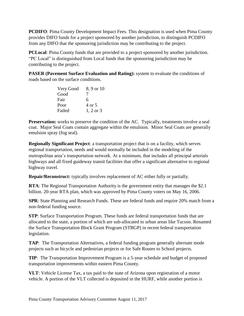**PCDIFO**: Pima County Development Impact Fees. This designation is used when Pima County provides DIFO funds for a project sponsored by another jurisdiction, to distinguish PCDIFO from any DIFO that the sponsoring jurisdiction may be contributing to the project.

**PCLocal:** Pima County funds that are provided to a project sponsored by another jurisdiction. "PC Local" is distinguished from Local funds that the sponsoring jurisdiction may be contributing to the project.

**PASER (Pavement Surface Evaluation and Rating):** system to evaluate the conditions of roads based on the surface conditions.

| Very Good | 8, 9 or 10           |
|-----------|----------------------|
| Good      |                      |
| Fair      | 6                    |
| Poor      | 4 or 5               |
| Failed    | $1, 2 \text{ or } 3$ |

**Preservation:** works to preserve the condition of the AC. Typically, treatments involve a seal coat. Major Seal Coats contain aggregate within the emulsion. Minor Seal Coats are generally emulsion spray (fog seal).

**Regionally Significant Project**: a transportation project that is on a facility, which serves regional transportation, needs and would normally be included in the modeling of the metropolitan area's transportation network. At a minimum, that includes all principal arterials highways and all fixed guideway transit facilities that offer a significant alternative to regional highway travel.

**Repair/Reconstruct:** typically involves replacement of AC either fully or partially.

**RTA**: The Regional Transportation Authority is the government entity that manages the \$2.1 billion. 20-year RTA plan, which was approved by Pima County voters on May 16, 2006.

**SPR**: State Planning and Research Funds. These are federal funds and require 20% match from a non-federal funding source.

**STP**: Surface Transportation Program. These funds are federal transportation funds that are allocated to the state, a portion of which are sub-allocated to urban areas like Tucson. Renamed the Surface Transportation Block Grant Program (STBGP) in recent federal transportation legislation.

**TAP**: The Transportation Alternatives, a federal funding program generally alternate mode projects such as bicycle and pedestrian projects or for Safe Routes to School projects.

**TIP**: The Transportation Improvement Program is a 5-year schedule and budget of proposed transportation improvements within eastern Pima County.

**VLT**: Vehicle License Tax, a tax paid to the state of Arizona upon registration of a motor vehicle. A portion of the VLT collected is deposited in the HURF, while another portion is